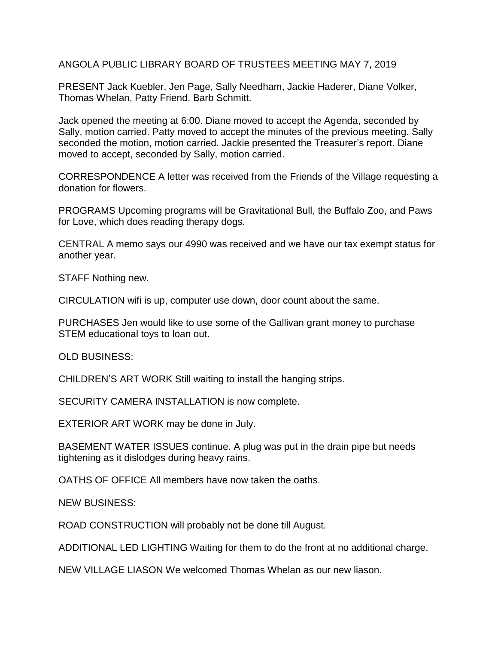ANGOLA PUBLIC LIBRARY BOARD OF TRUSTEES MEETING MAY 7, 2019

PRESENT Jack Kuebler, Jen Page, Sally Needham, Jackie Haderer, Diane Volker, Thomas Whelan, Patty Friend, Barb Schmitt.

Jack opened the meeting at 6:00. Diane moved to accept the Agenda, seconded by Sally, motion carried. Patty moved to accept the minutes of the previous meeting. Sally seconded the motion, motion carried. Jackie presented the Treasurer's report. Diane moved to accept, seconded by Sally, motion carried.

CORRESPONDENCE A letter was received from the Friends of the Village requesting a donation for flowers.

PROGRAMS Upcoming programs will be Gravitational Bull, the Buffalo Zoo, and Paws for Love, which does reading therapy dogs.

CENTRAL A memo says our 4990 was received and we have our tax exempt status for another year.

STAFF Nothing new.

CIRCULATION wifi is up, computer use down, door count about the same.

PURCHASES Jen would like to use some of the Gallivan grant money to purchase STEM educational toys to loan out.

OLD BUSINESS:

CHILDREN'S ART WORK Still waiting to install the hanging strips.

SECURITY CAMERA INSTALLATION is now complete.

EXTERIOR ART WORK may be done in July.

BASEMENT WATER ISSUES continue. A plug was put in the drain pipe but needs tightening as it dislodges during heavy rains.

OATHS OF OFFICE All members have now taken the oaths.

NEW BUSINESS:

ROAD CONSTRUCTION will probably not be done till August.

ADDITIONAL LED LIGHTING Waiting for them to do the front at no additional charge.

NEW VILLAGE LIASON We welcomed Thomas Whelan as our new liason.